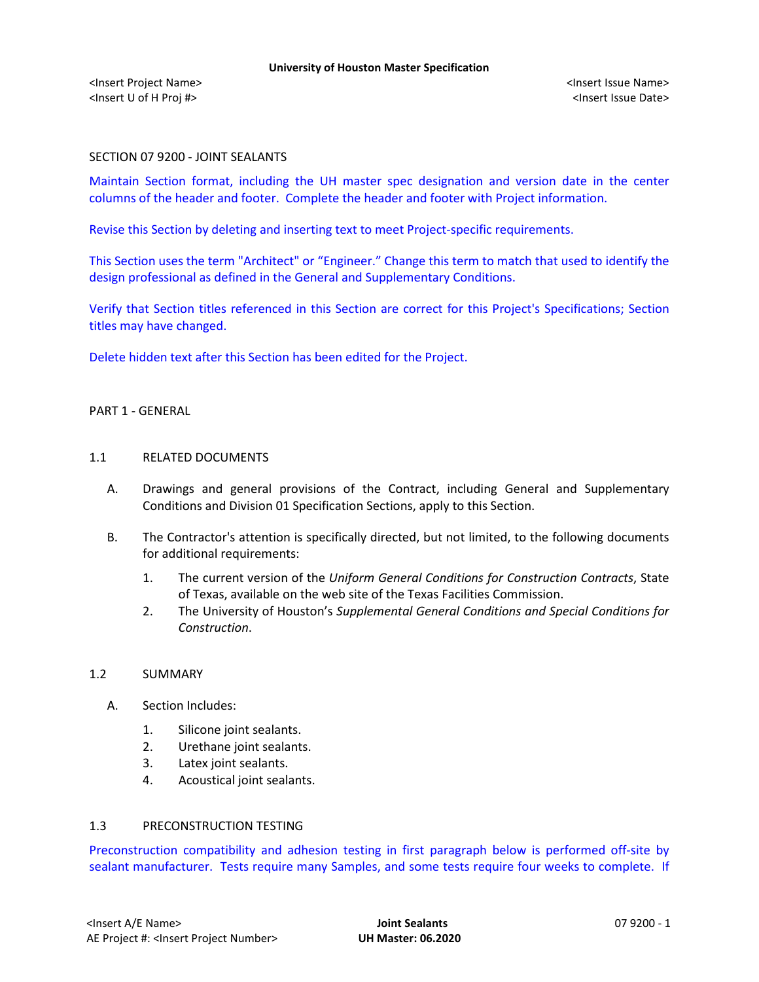### SECTION 07 9200 - JOINT SEALANTS

Maintain Section format, including the UH master spec designation and version date in the center columns of the header and footer. Complete the header and footer with Project information.

Revise this Section by deleting and inserting text to meet Project-specific requirements.

This Section uses the term "Architect" or "Engineer." Change this term to match that used to identify the design professional as defined in the General and Supplementary Conditions.

Verify that Section titles referenced in this Section are correct for this Project's Specifications; Section titles may have changed.

Delete hidden text after this Section has been edited for the Project.

# PART 1 - GENERAL

#### 1.1 RELATED DOCUMENTS

- A. Drawings and general provisions of the Contract, including General and Supplementary Conditions and Division 01 Specification Sections, apply to this Section.
- B. The Contractor's attention is specifically directed, but not limited, to the following documents for additional requirements:
	- 1. The current version of the *Uniform General Conditions for Construction Contracts*, State of Texas, available on the web site of the Texas Facilities Commission.
	- 2. The University of Houston's *Supplemental General Conditions and Special Conditions for Construction*.

### 1.2 SUMMARY

- A. Section Includes:
	- 1. Silicone joint sealants.
	- 2. Urethane joint sealants.
	- 3. Latex joint sealants.
	- 4. Acoustical joint sealants.

### 1.3 PRECONSTRUCTION TESTING

Preconstruction compatibility and adhesion testing in first paragraph below is performed off-site by sealant manufacturer. Tests require many Samples, and some tests require four weeks to complete. If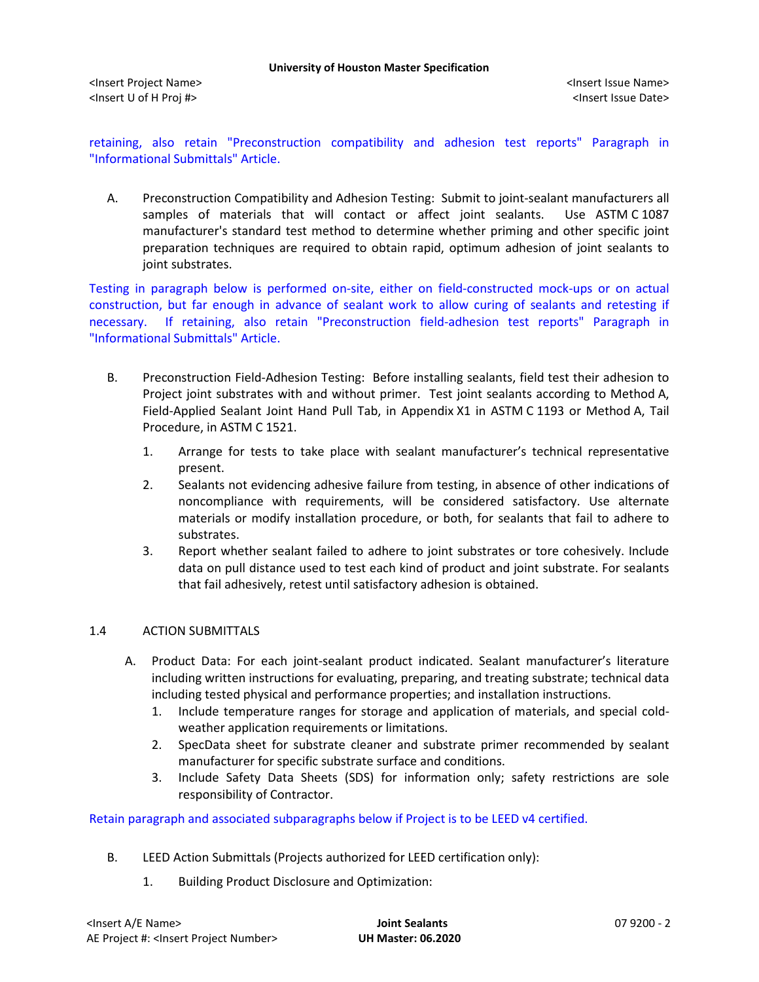retaining, also retain "Preconstruction compatibility and adhesion test reports" Paragraph in "Informational Submittals" Article.

A. Preconstruction Compatibility and Adhesion Testing: Submit to joint-sealant manufacturers all samples of materials that will contact or affect joint sealants. Use ASTM C 1087 manufacturer's standard test method to determine whether priming and other specific joint preparation techniques are required to obtain rapid, optimum adhesion of joint sealants to joint substrates.

Testing in paragraph below is performed on-site, either on field-constructed mock-ups or on actual construction, but far enough in advance of sealant work to allow curing of sealants and retesting if necessary. If retaining, also retain "Preconstruction field-adhesion test reports" Paragraph in "Informational Submittals" Article.

- B. Preconstruction Field-Adhesion Testing: Before installing sealants, field test their adhesion to Project joint substrates with and without primer. Test joint sealants according to Method A, Field-Applied Sealant Joint Hand Pull Tab, in Appendix X1 in ASTM C 1193 or Method A, Tail Procedure, in ASTM C 1521.
	- 1. Arrange for tests to take place with sealant manufacturer's technical representative present.
	- 2. Sealants not evidencing adhesive failure from testing, in absence of other indications of noncompliance with requirements, will be considered satisfactory. Use alternate materials or modify installation procedure, or both, for sealants that fail to adhere to substrates.
	- 3. Report whether sealant failed to adhere to joint substrates or tore cohesively. Include data on pull distance used to test each kind of product and joint substrate. For sealants that fail adhesively, retest until satisfactory adhesion is obtained.

# 1.4 ACTION SUBMITTALS

- A. Product Data: For each joint-sealant product indicated. Sealant manufacturer's literature including written instructions for evaluating, preparing, and treating substrate; technical data including tested physical and performance properties; and installation instructions.
	- 1. Include temperature ranges for storage and application of materials, and special coldweather application requirements or limitations.
	- 2. SpecData sheet for substrate cleaner and substrate primer recommended by sealant manufacturer for specific substrate surface and conditions.
	- 3. Include Safety Data Sheets (SDS) for information only; safety restrictions are sole responsibility of Contractor.

Retain paragraph and associated subparagraphs below if Project is to be LEED v4 certified.

- B. LEED Action Submittals (Projects authorized for LEED certification only):
	- 1. Building Product Disclosure and Optimization: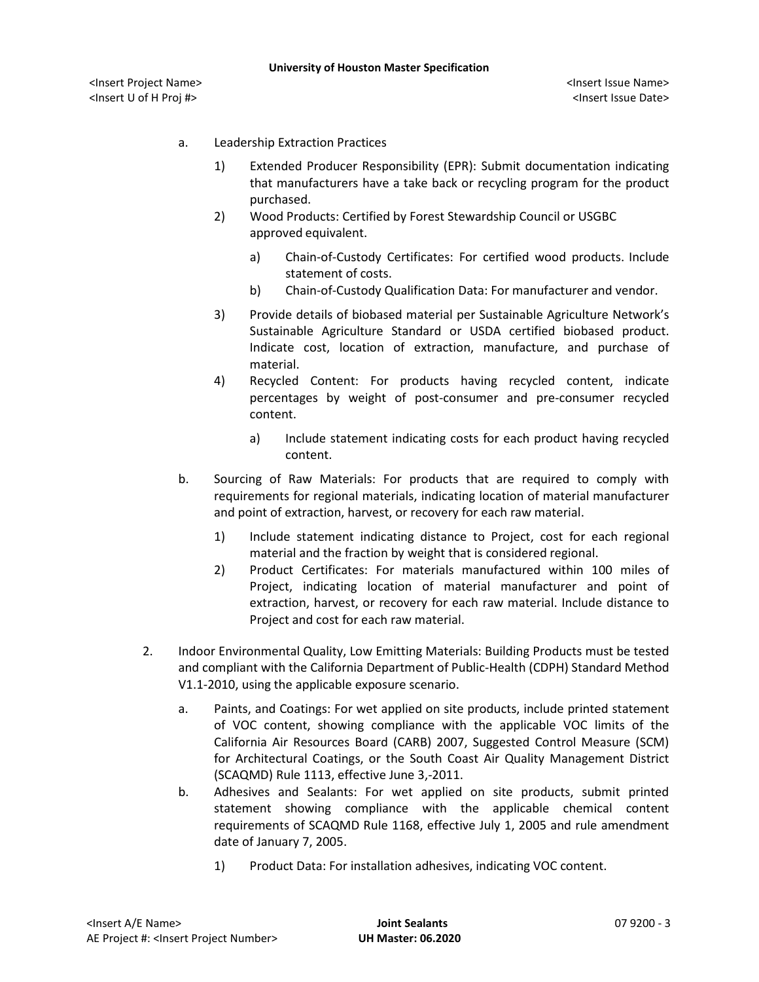<Insert Project Name> <Insert Issue Name> <Insert U of H Proj #> <Insert Issue Date>

- a. Leadership Extraction Practices
	- 1) Extended Producer Responsibility (EPR): Submit documentation indicating that manufacturers have a take back or recycling program for the product purchased.
	- 2) Wood Products: Certified by Forest Stewardship Council or USGBC approved equivalent.
		- a) [Chain-of-Custody Certificates:](http://www.arcomnet.com/sustainable_design.aspx?topic=146) For certified wood products. Include statement of costs.
		- b) [Chain-of-Custody Qualification Data:](http://www.arcomnet.com/sustainable_design.aspx?topic=148) For manufacturer and vendor.
	- 3) Provide details of biobased material per Sustainable Agriculture Network's Sustainable Agriculture Standard or USDA certified biobased product. Indicate cost, location of extraction, manufacture, and purchase of material.
	- 4) Recycled Content: For products having recycled content, indicate percentages by weight of post-consumer and pre-consumer recycled content.
		- a) Include statement indicating costs for each product having recycled content.
- b. Sourcing of Raw Materials: For products that are required to comply with requirements for regional materials, indicating location of material manufacturer and point of extraction, harvest, or recovery for each raw material.
	- 1) Include statement indicating distance to Project, cost for each regional material and the fraction by weight that is considered regional.
	- 2) Product Certificates: For materials manufactured within 100 miles of Project, indicating location of material manufacturer and point of extraction, harvest, or recovery for each raw material. Include distance to Project and cost for each raw material.
- 2. Indoor Environmental Quality, Low Emitting Materials: Building Products must be tested and compliant with the California Department of Public-Health (CDPH) Standard Method V1.1-2010, using the applicable exposure scenario.
	- a. Paints, and Coatings: For wet applied on site products, include printed statement of VOC content, showing compliance with the applicable VOC limits of the California Air Resources Board (CARB) 2007, Suggested Control Measure (SCM) for Architectural Coatings, or the South Coast Air Quality Management District (SCAQMD) Rule 1113, effective June 3,-2011.
	- b. Adhesives and Sealants: For wet applied on site products, submit printed statement showing compliance with the applicable chemical content requirements of SCAQMD Rule 1168, effective July 1, 2005 and rule amendment date of January 7, 2005.
		- 1) Product Data: For installation adhesives, indicating VOC content.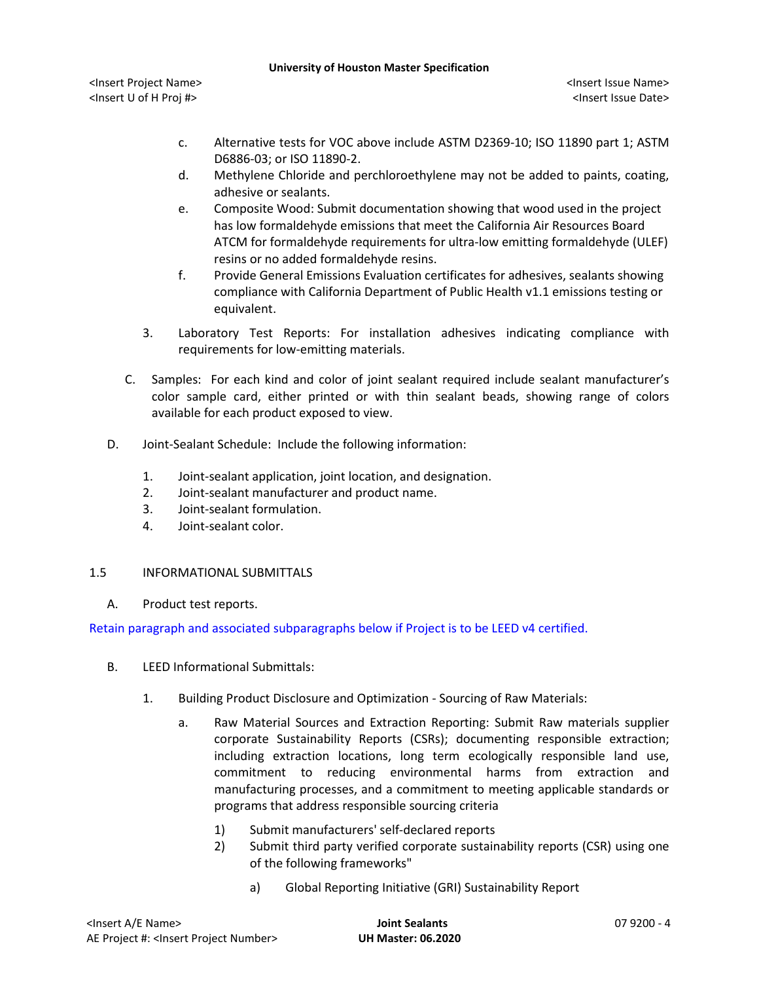<Insert Project Name> <Insert Issue Name> <Insert U of H Proj #> <Insert Issue Date>

- c. Alternative tests for VOC above include ASTM D2369-10; ISO 11890 part 1; ASTM D6886-03; or ISO 11890-2.
- d. Methylene Chloride and perchloroethylene may not be added to paints, coating, adhesive or sealants.
- e. Composite Wood: Submit documentation showing that wood used in the project has low formaldehyde emissions that meet the California Air Resources Board ATCM for formaldehyde requirements for ultra-low emitting formaldehyde (ULEF) resins or no added formaldehyde resins.
- f. Provide General Emissions Evaluation certificates for adhesives, sealants showing compliance with California Department of Public Health v1.1 emissions testing or equivalent.
- 3. Laboratory Test Reports: For installation adhesives indicating compliance with requirements for low-emitting materials.
- C. Samples: For each kind and color of joint sealant required include sealant manufacturer's color sample card, either printed or with thin sealant beads, showing range of colors available for each product exposed to view.
- D. Joint-Sealant Schedule: Include the following information:
	- 1. Joint-sealant application, joint location, and designation.
	- 2. Joint-sealant manufacturer and product name.
	- 3. Joint-sealant formulation.
	- 4. Joint-sealant color.

# 1.5 INFORMATIONAL SUBMITTALS

A. Product test reports.

Retain paragraph and associated subparagraphs below if Project is to be LEED v4 certified.

- B. LEED Informational Submittals:
	- 1. Building Product Disclosure and Optimization Sourcing of Raw Materials:
		- a. Raw Material Sources and Extraction Reporting: Submit Raw materials supplier corporate Sustainability Reports (CSRs); documenting responsible extraction; including extraction locations, long term ecologically responsible land use, commitment to reducing environmental harms from extraction and manufacturing processes, and a commitment to meeting applicable standards or programs that address responsible sourcing criteria
			- 1) Submit manufacturers' self-declared reports
			- 2) Submit third party verified corporate sustainability reports (CSR) using one of the following frameworks"
				- a) Global Reporting Initiative (GRI) Sustainability Report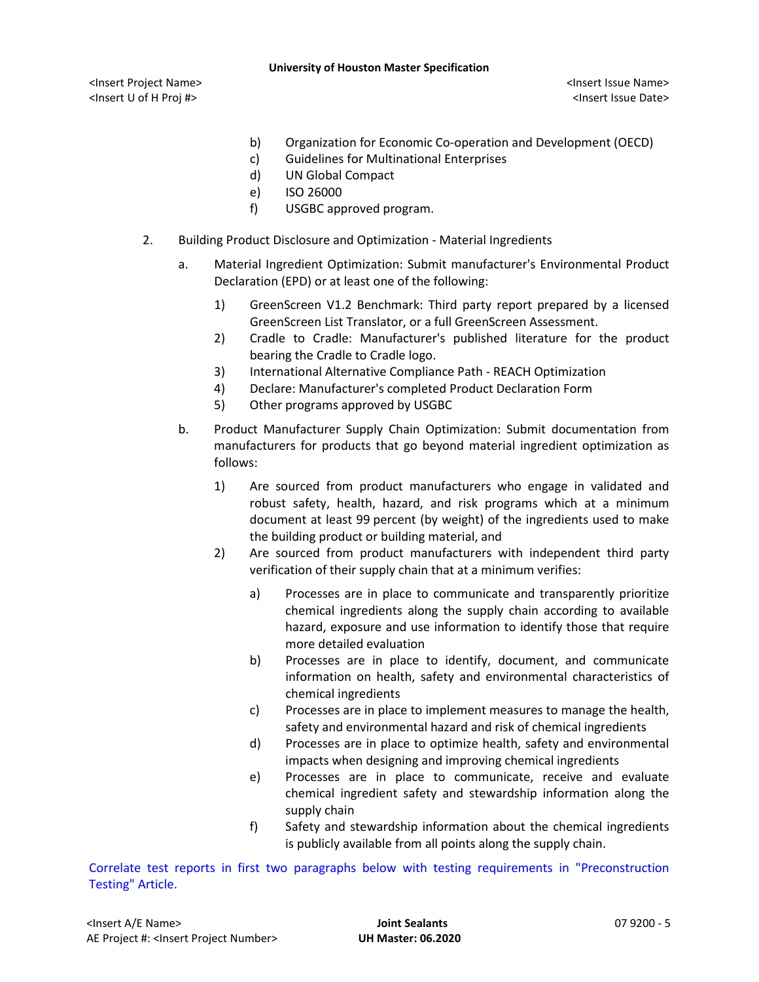<Insert Project Name> <Insert Issue Name> <Insert U of H Proj #> <Insert Issue Date>

- b) Organization for Economic Co-operation and Development (OECD)
- c) Guidelines for Multinational Enterprises
- d) UN Global Compact
- e) ISO 26000
- f) USGBC approved program.
- 2. Building Product Disclosure and Optimization Material Ingredients
	- a. Material Ingredient Optimization: Submit manufacturer's Environmental Product Declaration (EPD) or at least one of the following:
		- 1) GreenScreen V1.2 Benchmark: Third party report prepared by a licensed GreenScreen List Translator, or a full GreenScreen Assessment.
		- 2) Cradle to Cradle: Manufacturer's published literature for the product bearing the Cradle to Cradle logo.
		- 3) International Alternative Compliance Path REACH Optimization
		- 4) Declare: Manufacturer's completed Product Declaration Form
		- 5) Other programs approved by USGBC
	- b. Product Manufacturer Supply Chain Optimization: Submit documentation from manufacturers for products that go beyond material ingredient optimization as follows:
		- 1) Are sourced from product manufacturers who engage in validated and robust safety, health, hazard, and risk programs which at a minimum document at least 99 percent (by weight) of the ingredients used to make the building product or building material, and
		- 2) Are sourced from product manufacturers with independent third party verification of their supply chain that at a minimum verifies:
			- a) Processes are in place to communicate and transparently prioritize chemical ingredients along the supply chain according to available hazard, exposure and use information to identify those that require more detailed evaluation
			- b) Processes are in place to identify, document, and communicate information on health, safety and environmental characteristics of chemical ingredients
			- c) Processes are in place to implement measures to manage the health, safety and environmental hazard and risk of chemical ingredients
			- d) Processes are in place to optimize health, safety and environmental impacts when designing and improving chemical ingredients
			- e) Processes are in place to communicate, receive and evaluate chemical ingredient safety and stewardship information along the supply chain
			- f) Safety and stewardship information about the chemical ingredients is publicly available from all points along the supply chain.

Correlate test reports in first two paragraphs below with testing requirements in "Preconstruction Testing" Article.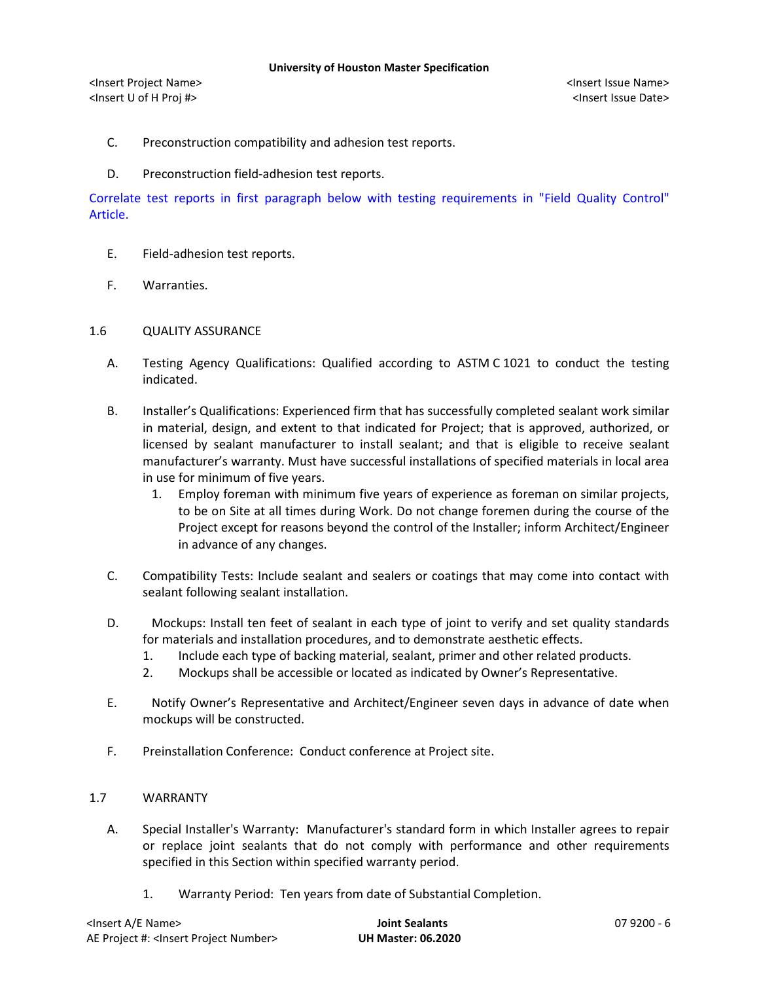- C. Preconstruction compatibility and adhesion test reports.
- D. Preconstruction field-adhesion test reports.

Correlate test reports in first paragraph below with testing requirements in "Field Quality Control" Article.

- E. Field-adhesion test reports.
- F. Warranties.
- 1.6 QUALITY ASSURANCE
	- A. Testing Agency Qualifications: Qualified according to ASTM C 1021 to conduct the testing indicated.
	- B. Installer's Qualifications: Experienced firm that has successfully completed sealant work similar in material, design, and extent to that indicated for Project; that is approved, authorized, or licensed by sealant manufacturer to install sealant; and that is eligible to receive sealant manufacturer's warranty. Must have successful installations of specified materials in local area in use for minimum of five years.
		- 1. Employ foreman with minimum five years of experience as foreman on similar projects, to be on Site at all times during Work. Do not change foremen during the course of the Project except for reasons beyond the control of the Installer; inform Architect/Engineer in advance of any changes.
	- C. Compatibility Tests: Include sealant and sealers or coatings that may come into contact with sealant following sealant installation.
	- D. Mockups: Install ten feet of sealant in each type of joint to verify and set quality standards for materials and installation procedures, and to demonstrate aesthetic effects.
		- 1. Include each type of backing material, sealant, primer and other related products.
		- 2. Mockups shall be accessible or located as indicated by Owner's Representative.
	- E. Notify Owner's Representative and Architect/Engineer seven days in advance of date when mockups will be constructed.
	- F. Preinstallation Conference: Conduct conference at Project site.

# 1.7 WARRANTY

- A. Special Installer's Warranty: Manufacturer's standard form in which Installer agrees to repair or replace joint sealants that do not comply with performance and other requirements specified in this Section within specified warranty period.
	- 1. Warranty Period: Ten years from date of Substantial Completion.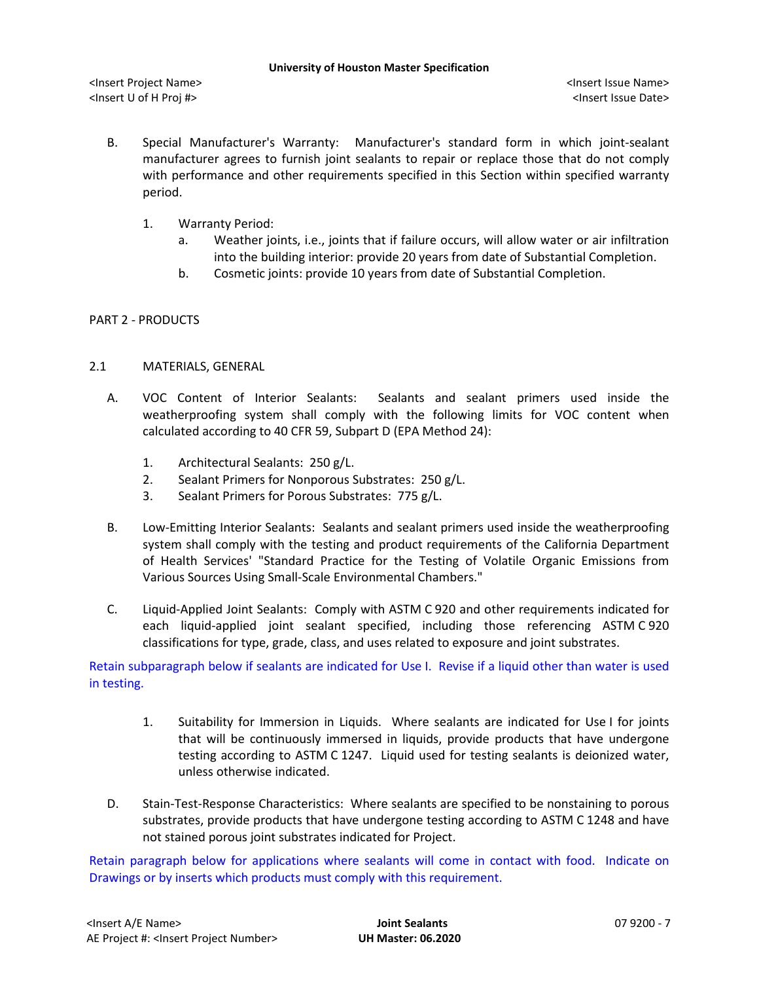- B. Special Manufacturer's Warranty: Manufacturer's standard form in which joint-sealant manufacturer agrees to furnish joint sealants to repair or replace those that do not comply with performance and other requirements specified in this Section within specified warranty period.
	- 1. Warranty Period:
		- a. Weather joints, i.e., joints that if failure occurs, will allow water or air infiltration into the building interior: provide 20 years from date of Substantial Completion.
		- b. Cosmetic joints: provide 10 years from date of Substantial Completion.

### PART 2 - PRODUCTS

### 2.1 MATERIALS, GENERAL

- A. VOC Content of Interior Sealants: Sealants and sealant primers used inside the weatherproofing system shall comply with the following limits for VOC content when calculated according to 40 CFR 59, Subpart D (EPA Method 24):
	- 1. Architectural Sealants: 250 g/L.
	- 2. Sealant Primers for Nonporous Substrates: 250 g/L.
	- 3. Sealant Primers for Porous Substrates: 775 g/L.
- B. Low-Emitting Interior Sealants: Sealants and sealant primers used inside the weatherproofing system shall comply with the testing and product requirements of the California Department of Health Services' "Standard Practice for the Testing of Volatile Organic Emissions from Various Sources Using Small-Scale Environmental Chambers."
- C. Liquid-Applied Joint Sealants: Comply with ASTM C 920 and other requirements indicated for each liquid-applied joint sealant specified, including those referencing ASTM C 920 classifications for type, grade, class, and uses related to exposure and joint substrates.

Retain subparagraph below if sealants are indicated for Use I. Revise if a liquid other than water is used in testing.

- 1. Suitability for Immersion in Liquids. Where sealants are indicated for Use I for joints that will be continuously immersed in liquids, provide products that have undergone testing according to ASTM C 1247. Liquid used for testing sealants is deionized water, unless otherwise indicated.
- D. Stain-Test-Response Characteristics: Where sealants are specified to be nonstaining to porous substrates, provide products that have undergone testing according to ASTM C 1248 and have not stained porous joint substrates indicated for Project.

Retain paragraph below for applications where sealants will come in contact with food. Indicate on Drawings or by inserts which products must comply with this requirement.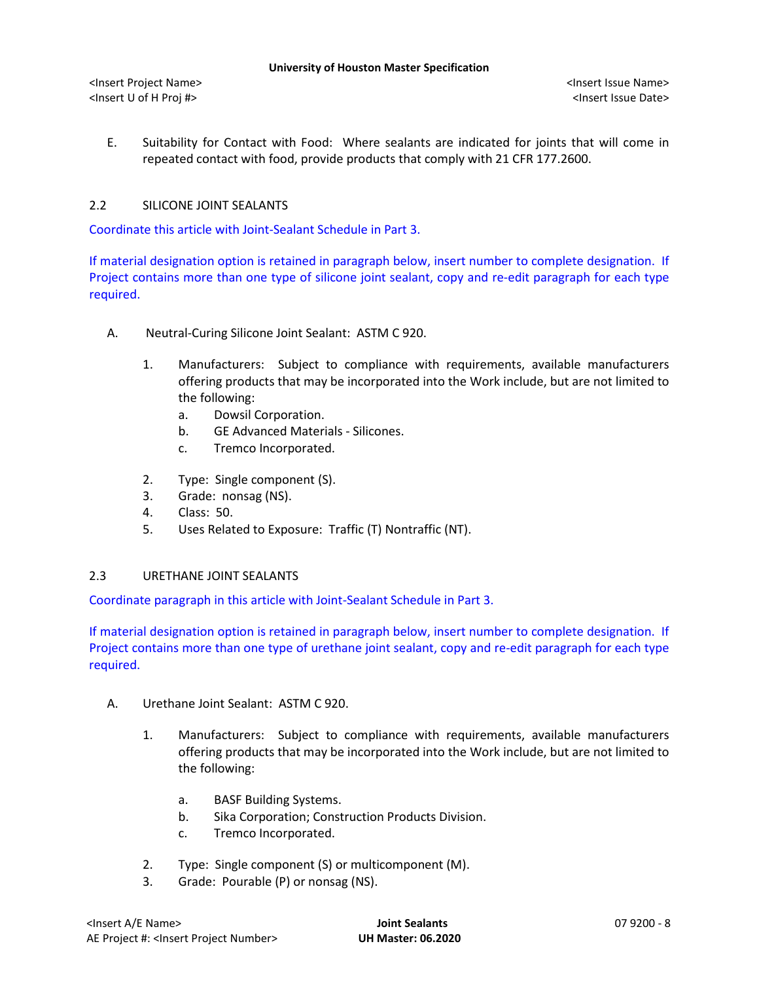E. Suitability for Contact with Food: Where sealants are indicated for joints that will come in repeated contact with food, provide products that comply with 21 CFR 177.2600.

# 2.2 SILICONE JOINT SEALANTS

Coordinate this article with Joint-Sealant Schedule in Part 3.

If material designation option is retained in paragraph below, insert number to complete designation. If Project contains more than one type of silicone joint sealant, copy and re-edit paragraph for each type required.

- A. Neutral-Curing Silicone Joint Sealant: ASTM C 920.
	- 1. Manufacturers: Subject to compliance with requirements, available manufacturers offering products that may be incorporated into the Work include, but are not limited to the following:
		- a. Dowsil [Corporation.](http://www.specagent.com/LookUp/?uid=123456799290&mf=04&src=wd)
		- b. [GE Advanced Materials -](http://www.specagent.com/LookUp/?uid=123456799292&mf=04&src=wd) Silicones.
		- c. [Tremco Incorporated.](http://www.specagent.com/LookUp/?uid=123456799303&mf=04&src=wd)
	- 2. Type: Single component (S).
	- 3. Grade: nonsag (NS).
	- 4. Class: 50.
	- 5. Uses Related to Exposure: Traffic (T) Nontraffic (NT).

### 2.3 URETHANE JOINT SEALANTS

Coordinate paragraph in this article with Joint-Sealant Schedule in Part 3.

If material designation option is retained in paragraph below, insert number to complete designation. If Project contains more than one type of urethane joint sealant, copy and re-edit paragraph for each type required.

- A. Urethane Joint Sealant: ASTM C 920.
	- 1. Manufacturers: Subject to compliance with requirements, available manufacturers offering products that may be incorporated into the Work include, but are not limited to the following:
		- a. [BASF Building Systems.](http://www.specagent.com/LookUp/?uid=123456799306&mf=04&src=wd)
		- b. [Sika Corporation; Construction Products Division.](http://www.specagent.com/LookUp/?uid=123456816621&mf=04&src=wd)
		- c. [Tremco Incorporated.](http://www.specagent.com/LookUp/?uid=123456799319&mf=04&src=wd)
	- 2. Type: Single component (S) or multicomponent (M).
	- 3. Grade: Pourable (P) or nonsag (NS).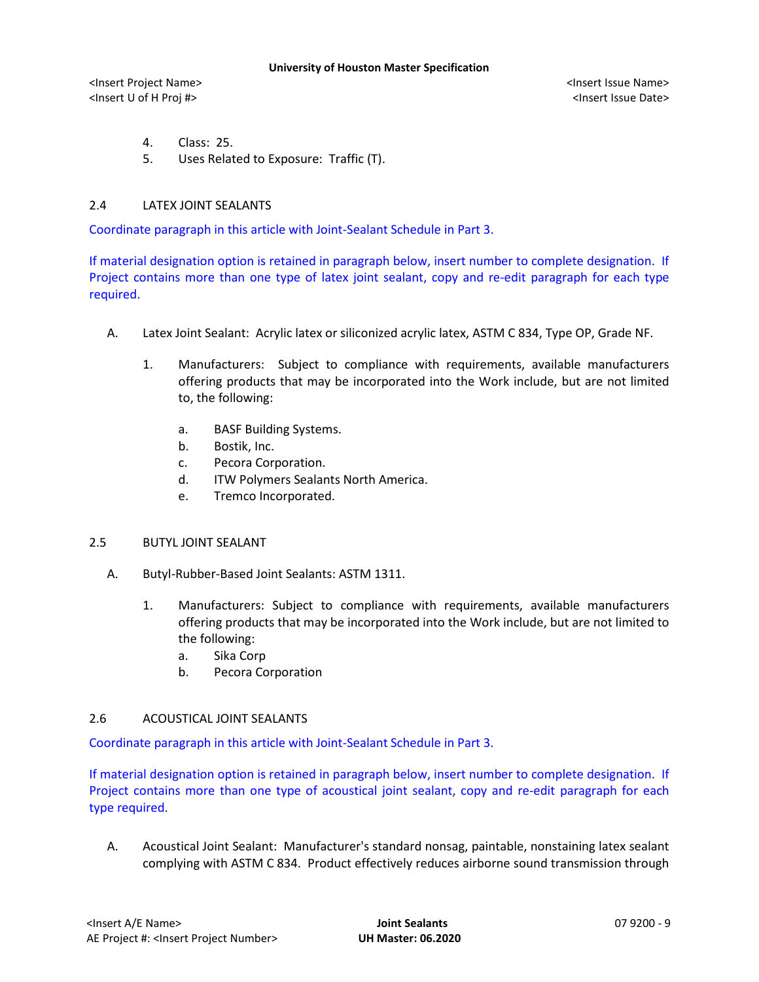- 4. Class: 25.
- 5. Uses Related to Exposure: Traffic (T).

### 2.4 LATEX JOINT SEALANTS

Coordinate paragraph in this article with Joint-Sealant Schedule in Part 3.

If material designation option is retained in paragraph below, insert number to complete designation. If Project contains more than one type of latex joint sealant, copy and re-edit paragraph for each type required.

- A. Latex Joint Sealant: Acrylic latex or siliconized acrylic latex, ASTM C 834, Type OP, Grade NF.
	- 1. Manufacturers: Subject to compliance with requirements, available manufacturers offering products that may be incorporated into the Work include, but are not limited to, the following:
		- a. [BASF Building Systems.](http://www.specagent.com/LookUp/?uid=123456799322&mf=04&src=wd)
		- b. Bostik, Inc.
		- c. [Pecora Corporation.](http://www.specagent.com/LookUp/?uid=123456799329&mf=04&src=wd)
		- d. ITW Polymers Sealants North America.
		- e. [Tremco Incorporated.](http://www.specagent.com/LookUp/?uid=123456799333&mf=04&src=wd)

### 2.5 BUTYL JOINT SEALANT

- A. Butyl-Rubber-Based Joint Sealants: ASTM 1311.
	- 1. Manufacturers: Subject to compliance with requirements, available manufacturers offering products that may be incorporated into the Work include, but are not limited to the following:
		- a. Sika Corp
		- b. Pecora Corporation

### 2.6 ACOUSTICAL JOINT SEALANTS

Coordinate paragraph in this article with Joint-Sealant Schedule in Part 3.

If material designation option is retained in paragraph below, insert number to complete designation. If Project contains more than one type of acoustical joint sealant, copy and re-edit paragraph for each type required.

A. Acoustical Joint Sealant: Manufacturer's standard nonsag, paintable, nonstaining latex sealant complying with ASTM C 834. Product effectively reduces airborne sound transmission through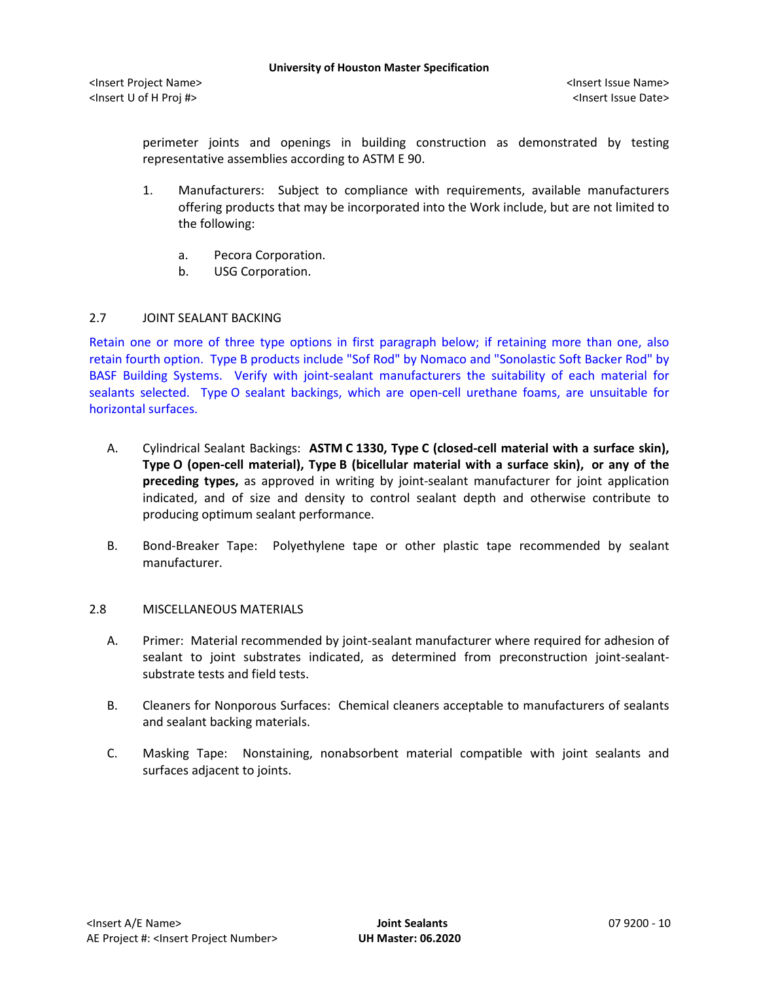perimeter joints and openings in building construction as demonstrated by testing representative assemblies according to ASTM E 90.

- 1. Manufacturers: Subject to compliance with requirements, available manufacturers offering products that may be incorporated into the Work include, but are not limited to the following:
	- a. [Pecora Corporation.](http://www.specagent.com/LookUp/?uid=123456799353&mf=04&src=wd)
	- b. [USG Corporation.](http://www.specagent.com/LookUp/?uid=123456799354&mf=04&src=wd)

# 2.7 JOINT SEALANT BACKING

Retain one or more of three type options in first paragraph below; if retaining more than one, also retain fourth option. Type B products include "Sof Rod" by Nomaco and "Sonolastic Soft Backer Rod" by BASF Building Systems. Verify with joint-sealant manufacturers the suitability of each material for sealants selected. Type O sealant backings, which are open-cell urethane foams, are unsuitable for horizontal surfaces.

- A. Cylindrical Sealant Backings: **ASTM C 1330, Type C (closed-cell material with a surface skin), Type O (open-cell material), Type B (bicellular material with a surface skin), or any of the preceding types,** as approved in writing by joint-sealant manufacturer for joint application indicated, and of size and density to control sealant depth and otherwise contribute to producing optimum sealant performance.
- B. Bond-Breaker Tape: Polyethylene tape or other plastic tape recommended by sealant manufacturer.

### 2.8 MISCELLANEOUS MATERIALS

- A. Primer: Material recommended by joint-sealant manufacturer where required for adhesion of sealant to joint substrates indicated, as determined from preconstruction joint-sealantsubstrate tests and field tests.
- B. Cleaners for Nonporous Surfaces: Chemical cleaners acceptable to manufacturers of sealants and sealant backing materials.
- C. Masking Tape: Nonstaining, nonabsorbent material compatible with joint sealants and surfaces adjacent to joints.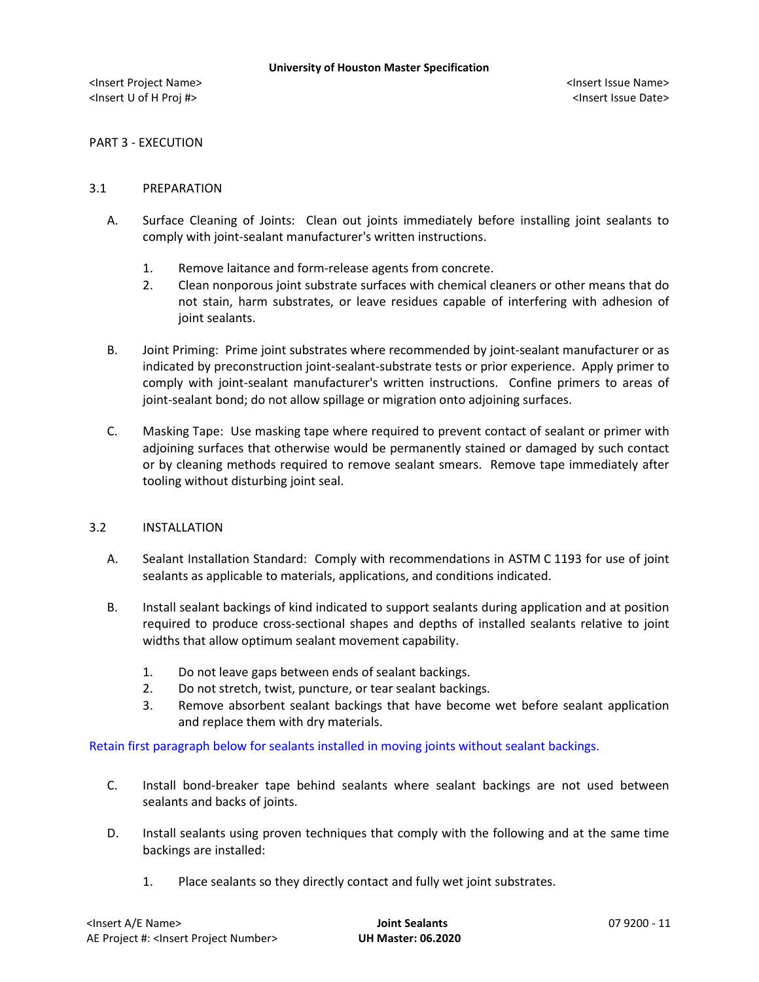PART 3 - EXECUTION

### 3.1 PREPARATION

- A. Surface Cleaning of Joints: Clean out joints immediately before installing joint sealants to comply with joint-sealant manufacturer's written instructions.
	- 1. Remove laitance and form-release agents from concrete.
	- 2. Clean nonporous joint substrate surfaces with chemical cleaners or other means that do not stain, harm substrates, or leave residues capable of interfering with adhesion of joint sealants.
- B. Joint Priming: Prime joint substrates where recommended by joint-sealant manufacturer or as indicated by preconstruction joint-sealant-substrate tests or prior experience. Apply primer to comply with joint-sealant manufacturer's written instructions. Confine primers to areas of joint-sealant bond; do not allow spillage or migration onto adjoining surfaces.
- C. Masking Tape: Use masking tape where required to prevent contact of sealant or primer with adjoining surfaces that otherwise would be permanently stained or damaged by such contact or by cleaning methods required to remove sealant smears. Remove tape immediately after tooling without disturbing joint seal.

### 3.2 INSTALLATION

- A. Sealant Installation Standard: Comply with recommendations in ASTM C 1193 for use of joint sealants as applicable to materials, applications, and conditions indicated.
- B. Install sealant backings of kind indicated to support sealants during application and at position required to produce cross-sectional shapes and depths of installed sealants relative to joint widths that allow optimum sealant movement capability.
	- 1. Do not leave gaps between ends of sealant backings.
	- 2. Do not stretch, twist, puncture, or tear sealant backings.
	- 3. Remove absorbent sealant backings that have become wet before sealant application and replace them with dry materials.

Retain first paragraph below for sealants installed in moving joints without sealant backings.

- C. Install bond-breaker tape behind sealants where sealant backings are not used between sealants and backs of joints.
- D. Install sealants using proven techniques that comply with the following and at the same time backings are installed:
	- 1. Place sealants so they directly contact and fully wet joint substrates.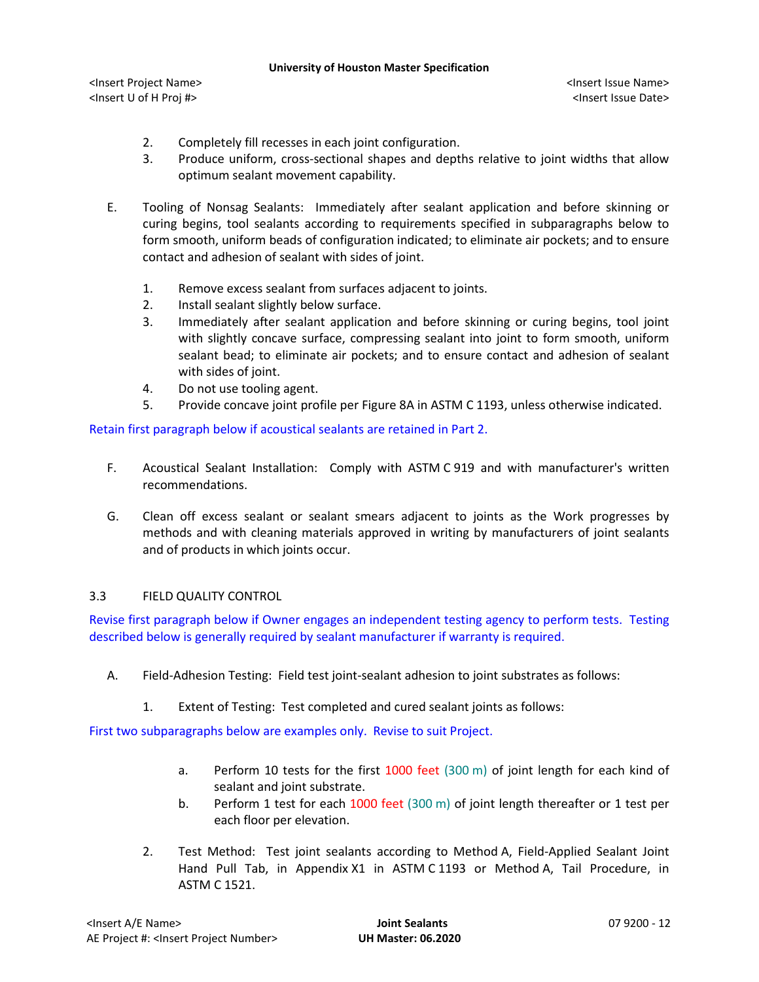- 2. Completely fill recesses in each joint configuration.
- 3. Produce uniform, cross-sectional shapes and depths relative to joint widths that allow optimum sealant movement capability.
- E. Tooling of Nonsag Sealants: Immediately after sealant application and before skinning or curing begins, tool sealants according to requirements specified in subparagraphs below to form smooth, uniform beads of configuration indicated; to eliminate air pockets; and to ensure contact and adhesion of sealant with sides of joint.
	- 1. Remove excess sealant from surfaces adjacent to joints.
	- 2. Install sealant slightly below surface.
	- 3. Immediately after sealant application and before skinning or curing begins, tool joint with slightly concave surface, compressing sealant into joint to form smooth, uniform sealant bead; to eliminate air pockets; and to ensure contact and adhesion of sealant with sides of joint.
	- 4. Do not use tooling agent.
	- 5. Provide concave joint profile per Figure 8A in ASTM C 1193, unless otherwise indicated.

Retain first paragraph below if acoustical sealants are retained in Part 2.

- F. Acoustical Sealant Installation: Comply with ASTM C 919 and with manufacturer's written recommendations.
- G. Clean off excess sealant or sealant smears adjacent to joints as the Work progresses by methods and with cleaning materials approved in writing by manufacturers of joint sealants and of products in which joints occur.

# 3.3 FIELD QUALITY CONTROL

Revise first paragraph below if Owner engages an independent testing agency to perform tests. Testing described below is generally required by sealant manufacturer if warranty is required.

- A. Field-Adhesion Testing: Field test joint-sealant adhesion to joint substrates as follows:
	- 1. Extent of Testing: Test completed and cured sealant joints as follows:

First two subparagraphs below are examples only. Revise to suit Project.

- a. Perform 10 tests for the first 1000 feet (300 m) of joint length for each kind of sealant and joint substrate.
- b. Perform 1 test for each 1000 feet (300 m) of joint length thereafter or 1 test per each floor per elevation.
- 2. Test Method: Test joint sealants according to Method A, Field-Applied Sealant Joint Hand Pull Tab, in Appendix X1 in ASTM C 1193 or Method A, Tail Procedure, in ASTM C 1521.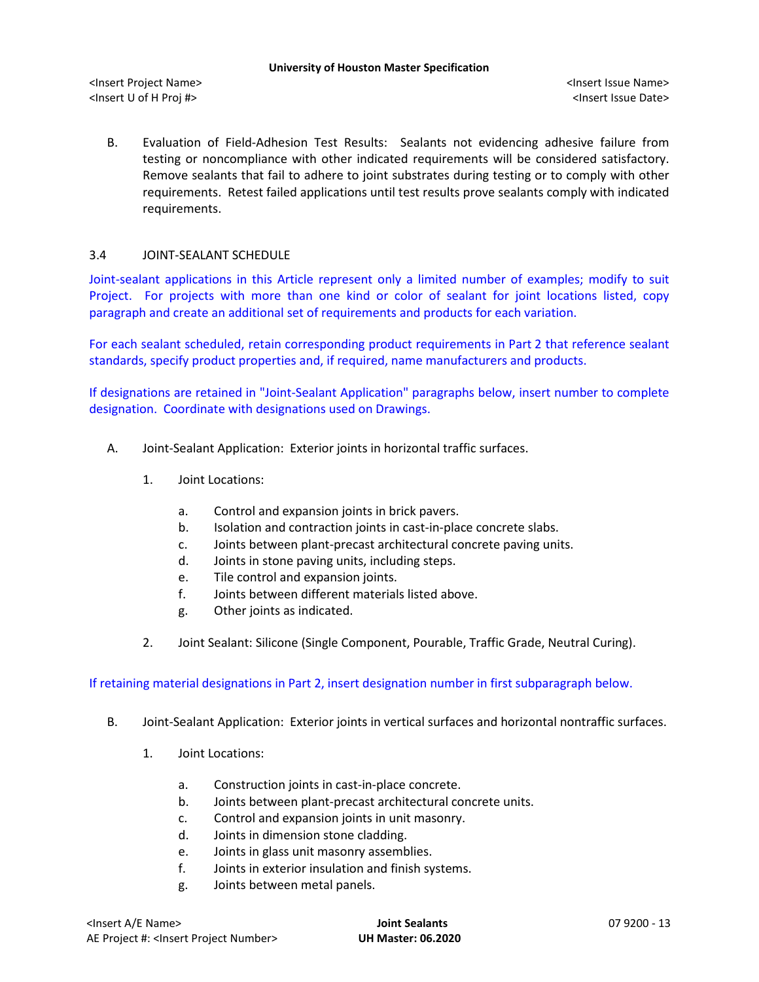B. Evaluation of Field-Adhesion Test Results: Sealants not evidencing adhesive failure from testing or noncompliance with other indicated requirements will be considered satisfactory. Remove sealants that fail to adhere to joint substrates during testing or to comply with other requirements. Retest failed applications until test results prove sealants comply with indicated requirements.

# 3.4 JOINT-SEALANT SCHEDULE

Joint-sealant applications in this Article represent only a limited number of examples; modify to suit Project. For projects with more than one kind or color of sealant for joint locations listed, copy paragraph and create an additional set of requirements and products for each variation.

For each sealant scheduled, retain corresponding product requirements in Part 2 that reference sealant standards, specify product properties and, if required, name manufacturers and products.

If designations are retained in "Joint-Sealant Application" paragraphs below, insert number to complete designation. Coordinate with designations used on Drawings.

- A. Joint-Sealant Application: Exterior joints in horizontal traffic surfaces.
	- 1. Joint Locations:
		- a. Control and expansion joints in brick pavers.
		- b. Isolation and contraction joints in cast-in-place concrete slabs.
		- c. Joints between plant-precast architectural concrete paving units.
		- d. Joints in stone paving units, including steps.
		- e. Tile control and expansion joints.
		- f. Joints between different materials listed above.
		- g. Other joints as indicated.
	- 2. Joint Sealant: Silicone (Single Component, Pourable, Traffic Grade, Neutral Curing).

# If retaining material designations in Part 2, insert designation number in first subparagraph below.

- B. Joint-Sealant Application: Exterior joints in vertical surfaces and horizontal nontraffic surfaces.
	- 1. Joint Locations:
		- a. Construction joints in cast-in-place concrete.
		- b. Joints between plant-precast architectural concrete units.
		- c. Control and expansion joints in unit masonry.
		- d. Joints in dimension stone cladding.
		- e. Joints in glass unit masonry assemblies.
		- f. Joints in exterior insulation and finish systems.
		- g. Joints between metal panels.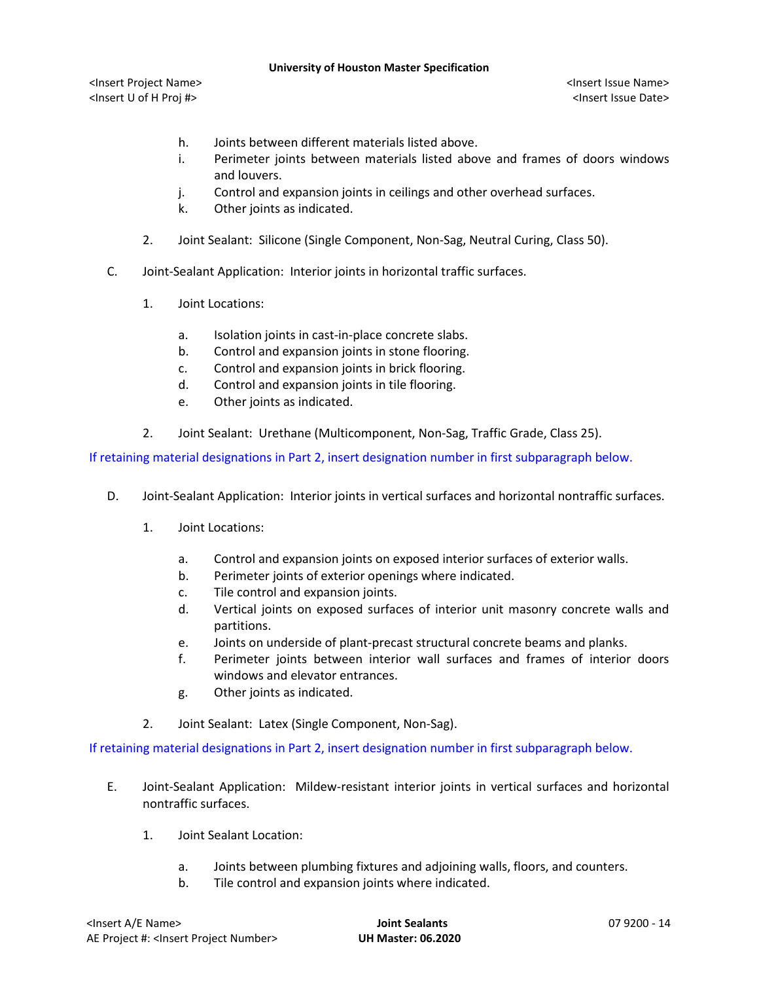<Insert Project Name> <Insert Issue Name> <Insert U of H Proj #> <Insert Issue Date>

- h. Joints between different materials listed above.
- i. Perimeter joints between materials listed above and frames of doors windows and louvers.
- j. Control and expansion joints in ceilings and other overhead surfaces.
- k. Other joints as indicated.
- 2. Joint Sealant: Silicone (Single Component, Non-Sag, Neutral Curing, Class 50).
- C. Joint-Sealant Application: Interior joints in horizontal traffic surfaces.
	- 1. Joint Locations:
		- a. Isolation joints in cast-in-place concrete slabs.
		- b. Control and expansion joints in stone flooring.
		- c. Control and expansion joints in brick flooring.
		- d. Control and expansion joints in tile flooring.
		- e. Other joints as indicated.
	- 2. Joint Sealant: Urethane (Multicomponent, Non-Sag, Traffic Grade, Class 25).

If retaining material designations in Part 2, insert designation number in first subparagraph below.

- D. Joint-Sealant Application: Interior joints in vertical surfaces and horizontal nontraffic surfaces.
	- 1. Joint Locations:
		- a. Control and expansion joints on exposed interior surfaces of exterior walls.
		- b. Perimeter joints of exterior openings where indicated.
		- c. Tile control and expansion joints.
		- d. Vertical joints on exposed surfaces of interior unit masonry concrete walls and partitions.
		- e. Joints on underside of plant-precast structural concrete beams and planks.
		- f. Perimeter joints between interior wall surfaces and frames of interior doors windows and elevator entrances.
		- g. Other joints as indicated.
	- 2. Joint Sealant: Latex (Single Component, Non-Sag).

If retaining material designations in Part 2, insert designation number in first subparagraph below.

- E. Joint-Sealant Application: Mildew-resistant interior joints in vertical surfaces and horizontal nontraffic surfaces.
	- 1. Joint Sealant Location:
		- a. Joints between plumbing fixtures and adjoining walls, floors, and counters.
		- b. Tile control and expansion joints where indicated.